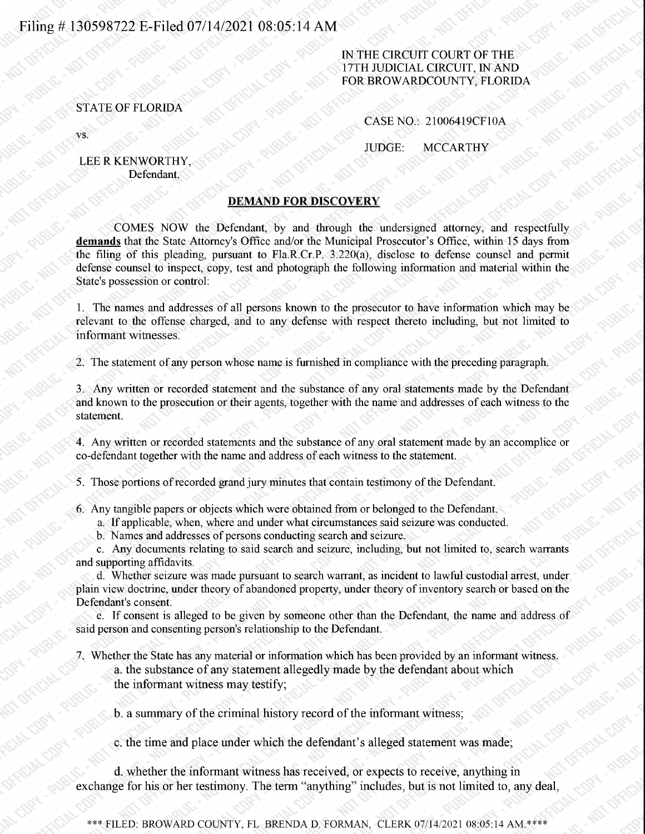## Filing # 130598722 E-Filed 07/14/2021 08:05:14 AM

#### IN THE CIRCUIT COURT OF THE 17TH JUDICIAL CIRCUIT, IN AND FOR BROWARDCOUNTY, FLORIDA

### STATE OF FLORIDA

VS.

CASENO.: 21006419CF10A

JUDGE: MCCARTHY

#### LEE R KENWORTHY, Defendant.

#### DEMAND FOR DISCOVERY

COMES NOW the Defendant, by and through the undersigned attorney, and respectfully demands that the State Attorney's Office and/or the Municipal Prosecutor's Office, within 15 days from the filing of this pleading, pursuant to Fla.R.Cr.P. 3.220(a), disclose to defense counsel and pennit defense counsel to inspect, copy, test and photograph the following infonnation and material within the State's possession or control:

1. The names and addresses of all persons known to the prosecutor to have information which may be relevant to the offense charged, and to any defense with respect thereto including, but not limited to informant witnesses.

2. The statement of any person whose name is furnished in compliance with the preceding paragraph.

3. Any written or recorded statement and the substance of any oral statements made by the Defendant and known to the prosecution or their agents, together with the name and addresses of each witness to the statement.

4. Any written or recorded statements and the substance of any oral statement made by an accomplice or co-defendant together with the name and address of each witness to the statement.

5. Those portions of recorded grand jury minutes that contain testimony of the Defendant.

6. Any tangible papers or objects which were obtained from or belonged to the Defendant.

a. If applicable, when, where and under what circumstances said seizure was conducted.

b. Names and addresses of persons conducting search and seizure.

c. Any documents relating to said search and seizure, including, but not limited to, search warrants and supporting affidavits.

d. Whether seizure was made pursuant to search warrant, as incident to lawful custodial arrest, under plain view doctrine, under theory of abandoned property, under theory of inventory search or based on the Defendant's consent.

e. If consent is alleged to be given by someone other than the Defendant, the name and address of said person and consenting person's relationship to the Defendant.

7. Whether the State has any material or information which has been provided by an informant witness. a. the substance of any statement allegedlymade by the defendant about which the informant witness may testify;

b. a summary of the criminal history record of the informant witness;

c. the time and place under which the defendant's alleged statement was made;

d. whether the informant witnesshas received, or expects to receive, anything in exchange for his or her testimony. The term "anything" includes, but is not limited to, any deal,

\*\*\* FILED: BROWARD COUNTY, FL BRENDA D. FORMAN, CLERK 07/14/2021 08:05:14 AM.\*\*\*\*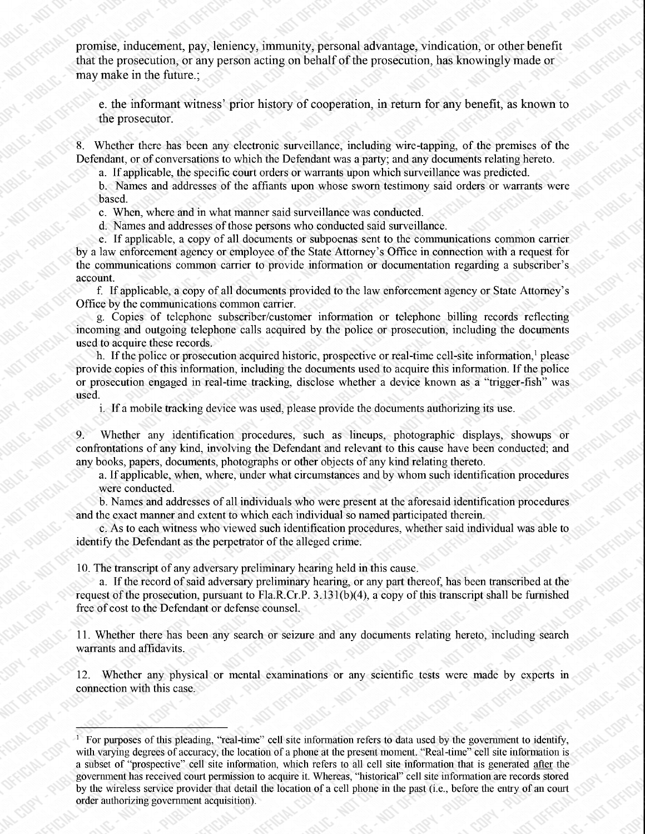promise, inducement, pay, leniency, immunity, personal advantage, vindication, or other benefit that the prosecution, or any person acting on behalf of the prosecution, has knowingly made or may make in the future.;

e. the informant witness' prior history of cooperation, in return for any benefit, as known to the prosecutor.

Whether there has been any electronic surveillance, including wire-tapping, of the premises of the Defendant, or of conversations to which the Defendant was a party; and any documents relating hereto.

a. If applicable, the specific court orders or warrants upon which surveillance was predicted.

b. Names and addresses of the affiants upon whose sworn testimony said orders or warrants were based.

c. When, where and in what manner said surveillance was conducted.

d. Names and addresses of those persons who conducted said surveillance.

e. If applicable, <sup>a</sup> copy of all documents or subpoenas sent to the communicationscommon carrier by a law enforcement agency or employee of the State Attorney's Office in connection with a request for the communications common carrier to provide information or documentation regarding a subscriber's account.

f. If applicable, a copy of all documents provided to the law enforcement agency or State Attorney's Office by the communications common carrier.

g. Copies of telephone subscriber/customer information or telephone billing records reflecting incoming and outgoing telephone calls acquired by the police or prosecution, including the documents used to acquire these records.

h. If the police or prosecution acquired historic, prospective or real-time cell-site information, please provide copies of this infonnation, including the documents used to acquire this information. If the police or prosecution engaged in real-time tracking, disclose whether a device known as a "trigger-fish" was used.

i. If a mobile tracking device was used, please provide the documents authorizing its use.

Whether any identification procedures, such as lineups, photographic displays, showups or confrontations of any kind, involving the Defendant and relevant to this cause have been conducted; and any books, papers, documents, photographs or other objects of any kind relating thereto.

a. If applicable, when, where, under what circumstances and by whom such identification procedures were conducted.

b. Names and addresses of all individuals who were presentat the aforesaid identification procedures and the exact manner and extent to which each individual so named participated therein.

c. As to each witness who viewed such identification procedures, whether said individual was able to identify the Defendant as the perpetrator of the alleged crime.

10. The transcript of any adversary preliminary hearing held in this cause.

a. If the record of said adversary preliminaryhearing, or any part thereof, has been transcribed at the request of the prosecution, pursuant to Fla.R.Cr.P. 3.131(b)(4), a copy of this transcript shall be furnished free of cost to the Defendant or defense counsel.

11. Whether there has been any search or seizure and any documents relating hereto, including search warrants and affidavits.

12. Whether any physical or mental examinations or any scientific tests were made by experts in connection with this case.

For purposes of this pleading, "real-time" cell site information refers to data used by the government to identify, with varying degrees of accuracy, the location of a phone at the present moment. "Real-time" cell site information is a subset of "prospective" cell site information, which refers to all cell site information that is generated after the government has received court permission to acquire it. Whereas, "historical" cell site information are records stored by the wireless service provider that detail the location of a cell phone in the past (i.e., before the entry of an court order authorizing government acquisition).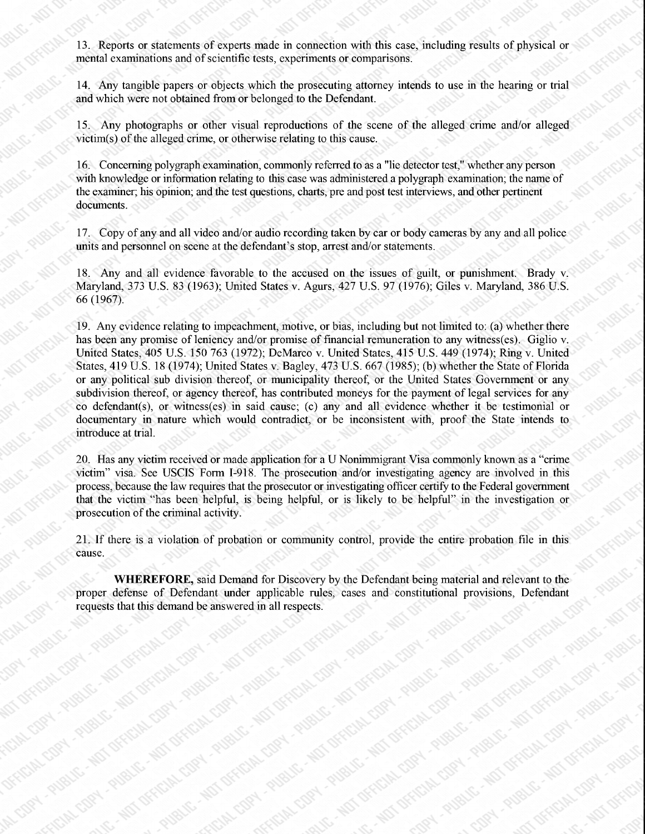13. Reports or statements of experts made in connection with this case, including results of physical or mental examinations and of scientific tests, experiments or comparisons.

14. Any tangible papers or objects which the prosecuting attorney intends to use in the hearing or trial and which were not obtained from or belonged to the Defendant.

15. Any photographs or other visual reproductions of the scene of the alleged crime and/or alleged victim(s) of the alleged crime, or otherwise relating to this cause.

16. Concerning polygraph examination, commonly referred to as a "lie detector test," whether any person with knowledge or information relating to this case was administered a polygraph examination; the name of the examiner; his opinion; and the test questions, charts, pre and post test interviews, and other pertinent documents.

17. Copy of any and all video and/or audio recording taken by car or body cameras by any and all police units and personnel on scene at the defendant's stop, arrest and/or statements.

18. Any and all evidence favorable to the accused on the issues of guilt, or punishment. Brady v. Maryland, 373 U.S. 83 (1963); United States v. Agurs, 427 U.S. 97 (1976); Giles v. Maryland, 386 U.S. 66 (1967).

19. Any evidence relating to impeachment, motive, or bias, including but not limited to: (a) whether there has been any promise of leniency and/or promise of financial remuneration to any witness(es). Giglio v. United States, 405 U.S. 150 763 (1972); DeMarco v. United States, 415 U.S. 449 (1974); Ring v. United States, 419 U.S. 18 (1974); United States v. Bagley, 473 U.S. 667 (1985); (b) whether the State of Florida or any political sub division thereof, or municipality thereof, or the United States Government or any subdivision thereof, or agency thereof, has contributed moneys for the payment of legal services for any co defendant(s), or witness(es) in said cause; (c) any and all evidence whether it be testimonial or documentary in nature which would contradict, or be inconsistent with, proof the State intends to introduce at trial.

20. Has any victim received or made application for a U Nonimmigrant Visa commonly known as a "crime victim" visa. See USCIS Form I-918. The prosecution and/or investigating agency are involved in this process, because the law requires that the prosecutor or investigating officer certify to the Federal government that the victim "has been helpful, is being helpful, or is likely to be helpful" in the investigation or prosecution of the criminal activity.

21. If there is a violation of probation or community control, provide the entire probation file in this cause.

WHEREFORE, said Demand for Discovery by the Defendant being material and relevant to the proper defense of Defendant under applicable rules, cases and constitutional provisions, Defendant requests that this demand be answered in all respects.